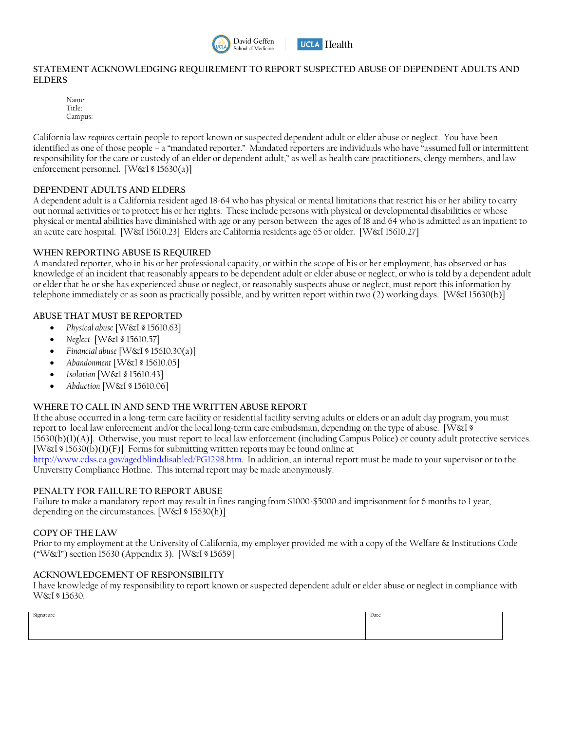



## **STATEMENT ACKNOWLEDGING REQUIREMENT TO REPORT SUSPECTED ABUSE OF DEPENDENT ADULTS AND ELDERS**

Name: Title: Campus:

California law *requires* certain people to report known or suspected dependent adult or elder abuse or neglect. You have been identified as one of those people – a "mandated reporter." Mandated reporters are individuals who have "assumed full or intermittent responsibility for the care or custody of an elder or dependent adult," as well as health care practitioners, clergy members, and law enforcement personnel. [W&I § 15630(a)]

## **DEPENDENT ADULTS AND ELDERS**

A dependent adult is a California resident aged 18-64 who has physical or mental limitations that restrict his or her ability to carry out normal activities or to protect his or her rights. These include persons with physical or developmental disabilities or whose physical or mental abilities have diminished with age or any person between the ages of 18 and 64 who is admitted as an inpatient to an acute care hospital. [W&I 15610.23] Elders are California residents age 65 or older. [W&I 15610.27]

## **WHEN REPORTING ABUSE IS REQUIRED**

A mandated reporter, who in his or her professional capacity, or within the scope of his or her employment, has observed or has knowledge of an incident that reasonably appears to be dependent adult or elder abuse or neglect, or who is told by a dependent adult or elder that he or she has experienced abuse or neglect, or reasonably suspects abuse or neglect, must report this information by telephone immediately or as soon as practically possible, and by written report within two (2) working days. [W&I 15630(b)]

# **ABUSE THAT MUST BE REPORTED**

- *Physical abuse* [W&I § 15610.63]
- *Neglect* [W&I § 15610.57]
- *Financial abuse* [W&I § 15610.30(a)]
- *Abandonment* [W&I § 15610.05]
- *Isolation* [W&I § 15610.43]
- *Abduction* [W&I § 15610.06]

# **WHERE TO CALL IN AND SEND THE WRITTEN ABUSE REPORT**

If the abuse occurred in a long-term care facility or residential facility serving adults or elders or an adult day program, you must report to local law enforcement and/or the local long-term care ombudsman, depending on the type of abuse. [W&I § 15630(b)(1)(A)]. Otherwise, you must report to local law enforcement (including Campus Police) or county adult protective services. [W&I  $\Im(15630(b)(1)(F)$ ] Forms for submitting written reports may be found online at [http://www.cdss.ca.gov/agedblinddisabled/PG1298.htm.](http://www.cdss.ca.gov/agedblinddisabled/PG1298.htm) In addition, an internal report must be made to your supervisor or to the University Compliance Hotline. This internal report may be made anonymously.

#### **PENALTY FOR FAILURE TO REPORT ABUSE**

Failure to make a mandatory report may result in fines ranging from \$1000-\$5000 and imprisonment for 6 months to 1 year, depending on the circumstances. [W&I § 15630(h)]

#### **COPY OF THE LAW**

Prior to my employment at the University of California, my employer provided me with a copy of the Welfare & Institutions Code ("W&I") section 15630 (Appendix 3). [W&I § 15659]

#### **ACKNOWLEDGEMENT OF RESPONSIBILITY**

I have knowledge of my responsibility to report known or suspected dependent adult or elder abuse or neglect in compliance with W&I § 15630.

| Signature | Date |  |
|-----------|------|--|
|           |      |  |
|           |      |  |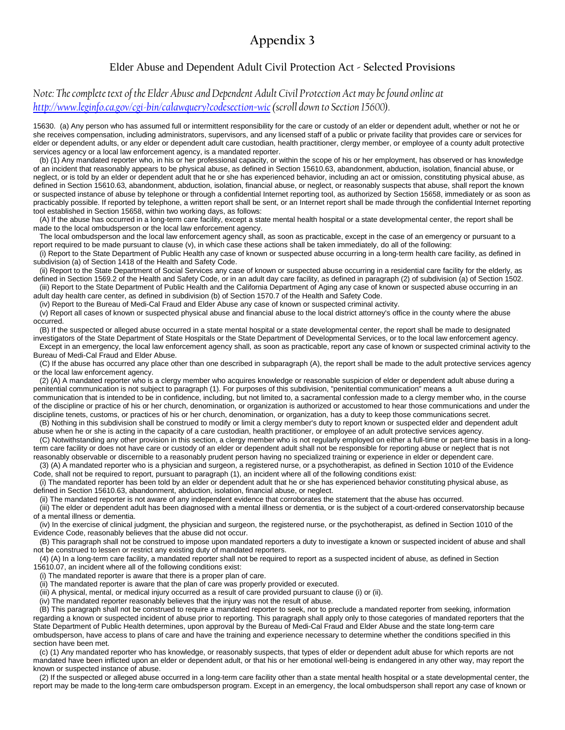# **Appendix 3**

# Elder Abuse and Dependent Adult Civil Protection Act **- Selected Provisions**

*Note: The complete text of the Elder Abuse and Dependent Adult Civil Protection Act may be found online at [http://www.leginfo.ca.gov/cgi-bin/calawquery?codesection=wic\(](http://www.leginfo.ca.gov/cgi-bin/calawquery?codesection=wic)scroll down to Section 15600).* 

15630. (a) Any person who has assumed full or intermittent responsibility for the care or custody of an elder or dependent adult, whether or not he or she receives compensation, including administrators, supervisors, and any licensed staff of a public or private facility that provides care or services for elder or dependent adults, or any elder or dependent adult care custodian, health practitioner, clergy member, or employee of a county adult protective services agency or a local law enforcement agency, is a mandated reporter.

 (b) (1) Any mandated reporter who, in his or her professional capacity, or within the scope of his or her employment, has observed or has knowledge of an incident that reasonably appears to be physical abuse, as defined in Section 15610.63, abandonment, abduction, isolation, financial abuse, or neglect, or is told by an elder or dependent adult that he or she has experienced behavior, including an act or omission, constituting physical abuse, as defined in Section 15610.63, abandonment, abduction, isolation, financial abuse, or neglect, or reasonably suspects that abuse, shall report the known or suspected instance of abuse by telephone or through a confidential Internet reporting tool, as authorized by Section 15658, immediately or as soon as practicably possible. If reported by telephone, a written report shall be sent, or an Internet report shall be made through the confidential Internet reporting tool established in Section 15658, within two working days, as follows:

 (A) If the abuse has occurred in a long-term care facility, except a state mental health hospital or a state developmental center, the report shall be made to the local ombudsperson or the local law enforcement agency.

 The local ombudsperson and the local law enforcement agency shall, as soon as practicable, except in the case of an emergency or pursuant to a report required to be made pursuant to clause (v), in which case these actions shall be taken immediately, do all of the following:

 (i) Report to the State Department of Public Health any case of known or suspected abuse occurring in a long-term health care facility, as defined in subdivision (a) of Section 1418 of the Health and Safety Code.

 (ii) Report to the State Department of Social Services any case of known or suspected abuse occurring in a residential care facility for the elderly, as defined in Section 1569.2 of the Health and Safety Code, or in an adult day care facility, as defined in paragraph (2) of subdivision (a) of Section 1502. (iii) Report to the State Department of Public Health and the California Department of Aging any case of known or suspected abuse occurring in an

adult day health care center, as defined in subdivision (b) of Section 1570.7 of the Health and Safety Code.

(iv) Report to the Bureau of Medi-Cal Fraud and Elder Abuse any case of known or suspected criminal activity.

 (v) Report all cases of known or suspected physical abuse and financial abuse to the local district attorney's office in the county where the abuse occurred.

 (B) If the suspected or alleged abuse occurred in a state mental hospital or a state developmental center, the report shall be made to designated investigators of the State Department of State Hospitals or the State Department of Developmental Services, or to the local law enforcement agency.

 Except in an emergency, the local law enforcement agency shall, as soon as practicable, report any case of known or suspected criminal activity to the Bureau of Medi-Cal Fraud and Elder Abuse.

 (C) If the abuse has occurred any place other than one described in subparagraph (A), the report shall be made to the adult protective services agency or the local law enforcement agency.

 (2) (A) A mandated reporter who is a clergy member who acquires knowledge or reasonable suspicion of elder or dependent adult abuse during a penitential communication is not subject to paragraph (1). For purposes of this subdivision, "penitential communication" means a

communication that is intended to be in confidence, including, but not limited to, a sacramental confession made to a clergy member who, in the course of the discipline or practice of his or her church, denomination, or organization is authorized or accustomed to hear those communications and under the discipline tenets, customs, or practices of his or her church, denomination, or organization, has a duty to keep those communications secret.

 (B) Nothing in this subdivision shall be construed to modify or limit a clergy member's duty to report known or suspected elder and dependent adult abuse when he or she is acting in the capacity of a care custodian, health practitioner, or employee of an adult protective services agency.

 (C) Notwithstanding any other provision in this section, a clergy member who is not regularly employed on either a full-time or part-time basis in a longterm care facility or does not have care or custody of an elder or dependent adult shall not be responsible for reporting abuse or neglect that is not reasonably observable or discernible to a reasonably prudent person having no specialized training or experience in elder or dependent care.

 (3) (A) A mandated reporter who is a physician and surgeon, a registered nurse, or a psychotherapist, as defined in Section 1010 of the Evidence Code, shall not be required to report, pursuant to paragraph (1), an incident where all of the following conditions exist:

 (i) The mandated reporter has been told by an elder or dependent adult that he or she has experienced behavior constituting physical abuse, as defined in Section 15610.63, abandonment, abduction, isolation, financial abuse, or neglect.

(ii) The mandated reporter is not aware of any independent evidence that corroborates the statement that the abuse has occurred.

 (iii) The elder or dependent adult has been diagnosed with a mental illness or dementia, or is the subject of a court-ordered conservatorship because of a mental illness or dementia.

 (iv) In the exercise of clinical judgment, the physician and surgeon, the registered nurse, or the psychotherapist, as defined in Section 1010 of the Evidence Code, reasonably believes that the abuse did not occur.

 (B) This paragraph shall not be construed to impose upon mandated reporters a duty to investigate a known or suspected incident of abuse and shall not be construed to lessen or restrict any existing duty of mandated reporters.

 (4) (A) In a long-term care facility, a mandated reporter shall not be required to report as a suspected incident of abuse, as defined in Section 15610.07, an incident where all of the following conditions exist:

(i) The mandated reporter is aware that there is a proper plan of care.

(ii) The mandated reporter is aware that the plan of care was properly provided or executed.

(iii) A physical, mental, or medical injury occurred as a result of care provided pursuant to clause (i) or (ii).

(iv) The mandated reporter reasonably believes that the injury was not the result of abuse.

 (B) This paragraph shall not be construed to require a mandated reporter to seek, nor to preclude a mandated reporter from seeking, information regarding a known or suspected incident of abuse prior to reporting. This paragraph shall apply only to those categories of mandated reporters that the State Department of Public Health determines, upon approval by the Bureau of Medi-Cal Fraud and Elder Abuse and the state long-term care ombudsperson, have access to plans of care and have the training and experience necessary to determine whether the conditions specified in this section have been met.

 (c) (1) Any mandated reporter who has knowledge, or reasonably suspects, that types of elder or dependent adult abuse for which reports are not mandated have been inflicted upon an elder or dependent adult, or that his or her emotional well-being is endangered in any other way, may report the known or suspected instance of abuse.

 (2) If the suspected or alleged abuse occurred in a long-term care facility other than a state mental health hospital or a state developmental center, the report may be made to the long-term care ombudsperson program. Except in an emergency, the local ombudsperson shall report any case of known or